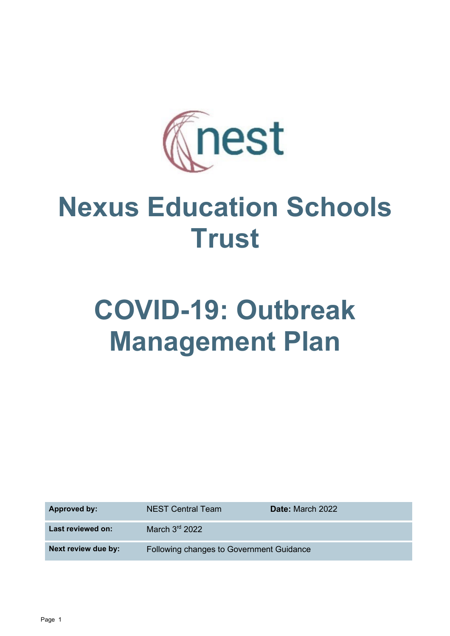

## **Nexus Education Schools Trust**

# **COVID-19: Outbreak Management Plan**

| <b>Approved by:</b> | <b>NEST Central Team</b>                 | <b>Date:</b> March 2022 |
|---------------------|------------------------------------------|-------------------------|
| Last reviewed on:   | March 3rd 2022                           |                         |
| Next review due by: | Following changes to Government Guidance |                         |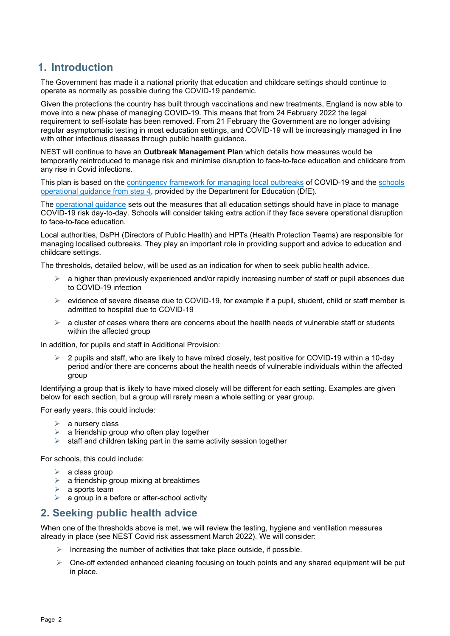## **1. Introduction**

The Government has made it a national priority that education and childcare settings should continue to operate as normally as possible during the COVID-19 pandemic.

Given the protections the country has built through vaccinations and new treatments, England is now able to move into a new phase of managing COVID-19. This means that from 24 February 2022 the legal requirement to self-isolate has been removed. From 21 February the Government are no longer advising regular asymptomatic testing in most education settings, and COVID-19 will be increasingly managed in line with other infectious diseases through public health guidance.

NEST will continue to have an **Outbreak Management Plan** which details how measures would be temporarily reintroduced to manage risk and minimise disruption to face-to-face education and childcare from any rise in Covid infections.

This plan is based on the [contingency framework for managing local outbreaks](https://www.gov.uk/government/publications/coronavirus-covid-19-local-restrictions-in-education-and-childcare-settings) of COVID-19 and the [schools](https://www.gov.uk/government/publications/actions-for-schools-during-the-coronavirus-outbreak)  [operational guidance from step 4,](https://www.gov.uk/government/publications/actions-for-schools-during-the-coronavirus-outbreak) provided by the Department for Education (DfE).

The [operational guidance](https://www.gov.uk/government/collections/guidance-for-schools-coronavirus-covid-19?priority-taxon=774cee22-d896-44c1-a611-e3109cce8eae) sets out the measures that all education settings should have in place to manage COVID-19 risk day-to-day. Schools will consider taking extra action if they face severe operational disruption to face-to-face education.

Local authorities, DsPH (Directors of Public Health) and HPTs (Health Protection Teams) are responsible for managing localised outbreaks. They play an important role in providing support and advice to education and childcare settings.

The thresholds, detailed below, will be used as an indication for when to seek public health advice.

- $\triangleright$  a higher than previously experienced and/or rapidly increasing number of staff or pupil absences due to COVID-19 infection
- $\triangleright$  evidence of severe disease due to COVID-19, for example if a pupil, student, child or staff member is admitted to hospital due to COVID-19
- $\triangleright$  a cluster of cases where there are concerns about the health needs of vulnerable staff or students within the affected group

In addition, for pupils and staff in Additional Provision:

 2 pupils and staff, who are likely to have mixed closely, test positive for COVID-19 within a 10-day period and/or there are concerns about the health needs of vulnerable individuals within the affected group

Identifying a group that is likely to have mixed closely will be different for each setting. Examples are given below for each section, but a group will rarely mean a whole setting or year group.

For early years, this could include:

- $\triangleright$  a nursery class
- $\geq$  a friendship group who often play together<br> $\geq$  staff and children taking part in the same a
- staff and children taking part in the same activity session together

For schools, this could include:

- $\triangleright$  a class group
- $\triangleright$  a friendship group mixing at breaktimes
- $\triangleright$  a sports team
- $\triangleright$  a group in a before or after-school activity

#### **2. Seeking public health advice**

When one of the thresholds above is met, we will review the testing, hygiene and ventilation measures already in place (see NEST Covid risk assessment March 2022). We will consider:

- Increasing the number of activities that take place outside, if possible.
- $\triangleright$  One-off extended enhanced cleaning focusing on touch points and any shared equipment will be put in place.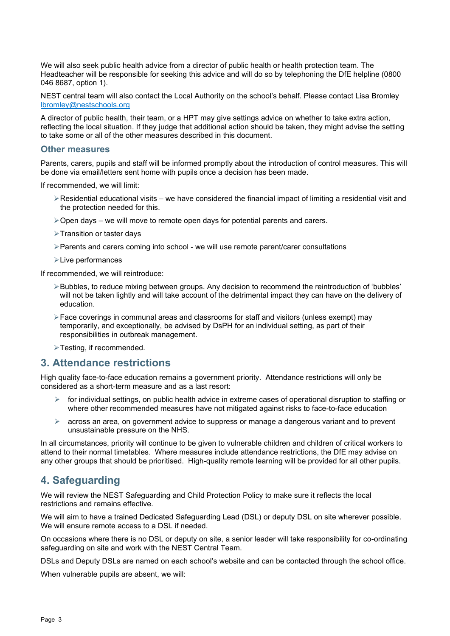We will also seek public health advice from a director of public health or health protection team. The Headteacher will be responsible for seeking this advice and will do so by telephoning the DfE helpline (0800 046 8687, option 1).

NEST central team will also contact the Local Authority on the school's behalf. Please contact Lisa Bromley [lbromley@nestschools.org](mailto:lbromley@nestschools.org)

A director of public health, their team, or a HPT may give settings advice on whether to take extra action, reflecting the local situation. If they judge that additional action should be taken, they might advise the setting to take some or all of the other measures described in this document.

#### **Other measures**

Parents, carers, pupils and staff will be informed promptly about the introduction of control measures. This will be done via email/letters sent home with pupils once a decision has been made.

If recommended, we will limit:

- Residential educational visits we have considered the financial impact of limiting a residential visit and the protection needed for this.
- $\geq$  Open days we will move to remote open days for potential parents and carers.
- Transition or taster days
- $\triangleright$  Parents and carers coming into school we will use remote parent/carer consultations
- Live performances

If recommended, we will reintroduce:

- Bubbles, to reduce mixing between groups. Any decision to recommend the reintroduction of 'bubbles' will not be taken lightly and will take account of the detrimental impact they can have on the delivery of education.
- Face coverings in communal areas and classrooms for staff and visitors (unless exempt) may temporarily, and exceptionally, be advised by DsPH for an individual setting, as part of their responsibilities in outbreak management.
- >Testing, if recommended.

#### **3. Attendance restrictions**

High quality face-to-face education remains a government priority. Attendance restrictions will only be considered as a short-term measure and as a last resort:

- $\triangleright$  for individual settings, on public health advice in extreme cases of operational disruption to staffing or where other recommended measures have not mitigated against risks to face-to-face education
- $\triangleright$  across an area, on government advice to suppress or manage a dangerous variant and to prevent unsustainable pressure on the NHS.

In all circumstances, priority will continue to be given to vulnerable children and children of critical workers to attend to their normal timetables. Where measures include attendance restrictions, the DfE may advise on any other groups that should be prioritised. High-quality remote learning will be provided for all other pupils.

### **4. Safeguarding**

We will review the NEST Safeguarding and Child Protection Policy to make sure it reflects the local restrictions and remains effective.

We will aim to have a trained Dedicated Safeguarding Lead (DSL) or deputy DSL on site wherever possible. We will ensure remote access to a DSL if needed.

On occasions where there is no DSL or deputy on site, a senior leader will take responsibility for co-ordinating safeguarding on site and work with the NEST Central Team.

DSLs and Deputy DSLs are named on each school's website and can be contacted through the school office.

When vulnerable pupils are absent, we will: